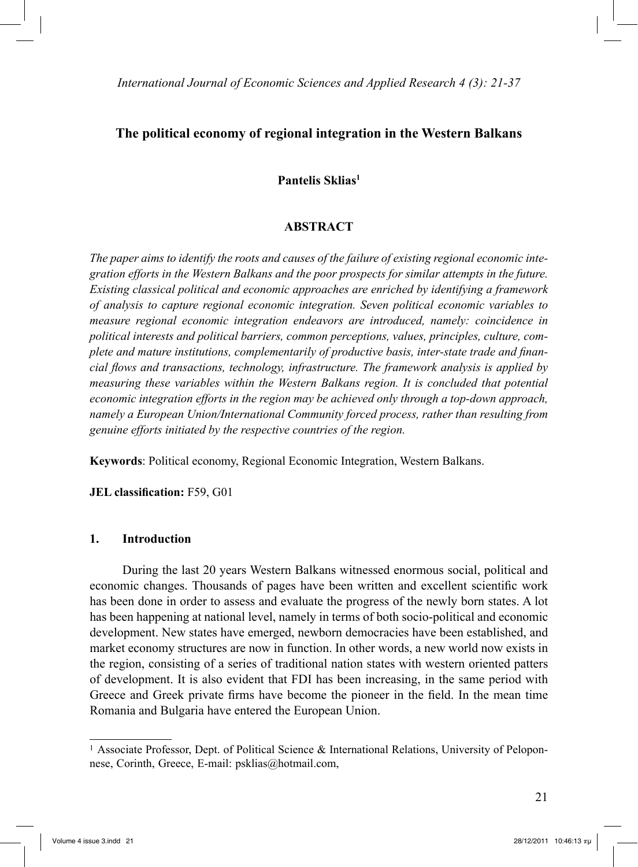# **The political economy of regional integration in the Western Balkans**

#### **Pantelis Sklias1**

#### **ABSTRACT**

*The paper aims to identify the roots and causes of the failure of existing regional economic integration efforts in the Western Balkans and the poor prospects for similar attempts in the future. Existing classical political and economic approaches are enriched by identifying a framework of analysis to capture regional economic integration. Seven political economic variables to measure regional economic integration endeavors are introduced, namely: coincidence in political interests and political barriers, common perceptions, values, principles, culture, complete and mature institutions, complementarily of productive basis, inter-state trade and financial flows and transactions, technology, infrastructure. The framework analysis is applied by measuring these variables within the Western Balkans region. It is concluded that potential economic integration efforts in the region may be achieved only through a top-down approach, namely a European Union/International Community forced process, rather than resulting from genuine efforts initiated by the respective countries of the region.* 

**Keywords**: Political economy, Regional Economic Integration, Western Balkans.

**JEL classification:** F59, G01

#### **1. Introduction**

 During the last 20 years Western Balkans witnessed enormous social, political and economic changes. Thousands of pages have been written and excellent scientific work has been done in order to assess and evaluate the progress of the newly born states. A lot has been happening at national level, namely in terms of both socio-political and economic development. New states have emerged, newborn democracies have been established, and market economy structures are now in function. In other words, a new world now exists in the region, consisting of a series of traditional nation states with western oriented patters of development. It is also evident that FDI has been increasing, in the same period with Greece and Greek private firms have become the pioneer in the field. In the mean time Romania and Bulgaria have entered the European Union.

<sup>1</sup> Associate Professor, Dept. of Political Science & International Relations, University of Peloponnese, Corinth, Greece, E-mail: psklias@hotmail.com,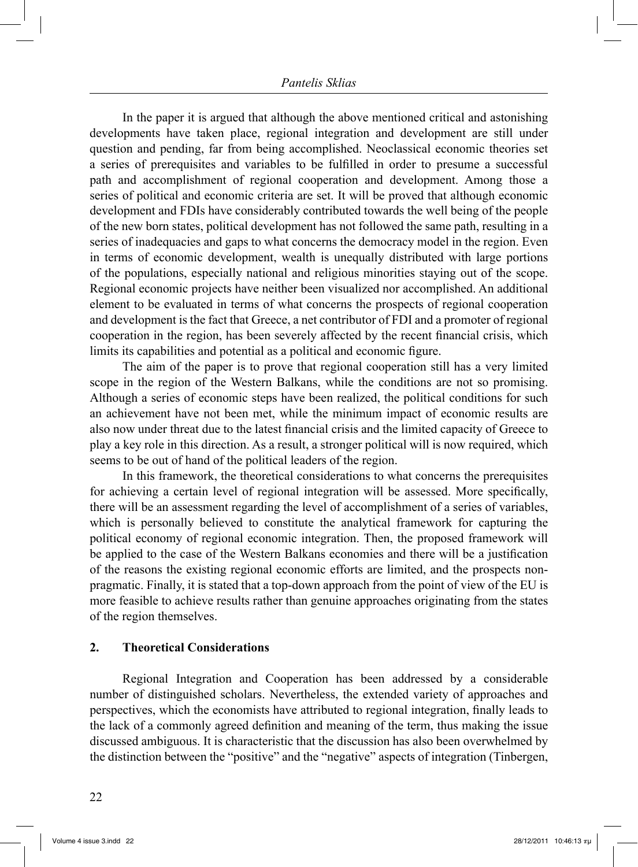#### *Pantelis Sklias*

 In the paper it is argued that although the above mentioned critical and astonishing developments have taken place, regional integration and development are still under question and pending, far from being accomplished. Neoclassical economic theories set a series of prerequisites and variables to be fulfilled in order to presume a successful path and accomplishment of regional cooperation and development. Among those a series of political and economic criteria are set. It will be proved that although economic development and FDIs have considerably contributed towards the well being of the people of the new born states, political development has not followed the same path, resulting in a series of inadequacies and gaps to what concerns the democracy model in the region. Even in terms of economic development, wealth is unequally distributed with large portions of the populations, especially national and religious minorities staying out of the scope. Regional economic projects have neither been visualized nor accomplished. An additional element to be evaluated in terms of what concerns the prospects of regional cooperation and development is the fact that Greece, a net contributor of FDI and a promoter of regional cooperation in the region, has been severely affected by the recent financial crisis, which limits its capabilities and potential as a political and economic figure.

 The aim of the paper is to prove that regional cooperation still has a very limited scope in the region of the Western Balkans, while the conditions are not so promising. Although a series of economic steps have been realized, the political conditions for such an achievement have not been met, while the minimum impact of economic results are also now under threat due to the latest financial crisis and the limited capacity of Greece to play a key role in this direction. As a result, a stronger political will is now required, which seems to be out of hand of the political leaders of the region.

 In this framework, the theoretical considerations to what concerns the prerequisites for achieving a certain level of regional integration will be assessed. More specifically, there will be an assessment regarding the level of accomplishment of a series of variables, which is personally believed to constitute the analytical framework for capturing the political economy of regional economic integration. Then, the proposed framework will be applied to the case of the Western Balkans economies and there will be a justification of the reasons the existing regional economic efforts are limited, and the prospects nonpragmatic. Finally, it is stated that a top-down approach from the point of view of the EU is more feasible to achieve results rather than genuine approaches originating from the states of the region themselves.

#### **2. Theoretical Considerations**

 Regional Integration and Cooperation has been addressed by a considerable number of distinguished scholars. Nevertheless, the extended variety of approaches and perspectives, which the economists have attributed to regional integration, finally leads to the lack of a commonly agreed definition and meaning of the term, thus making the issue discussed ambiguous. It is characteristic that the discussion has also been overwhelmed by the distinction between the "positive" and the "negative" aspects of integration (Tinbergen,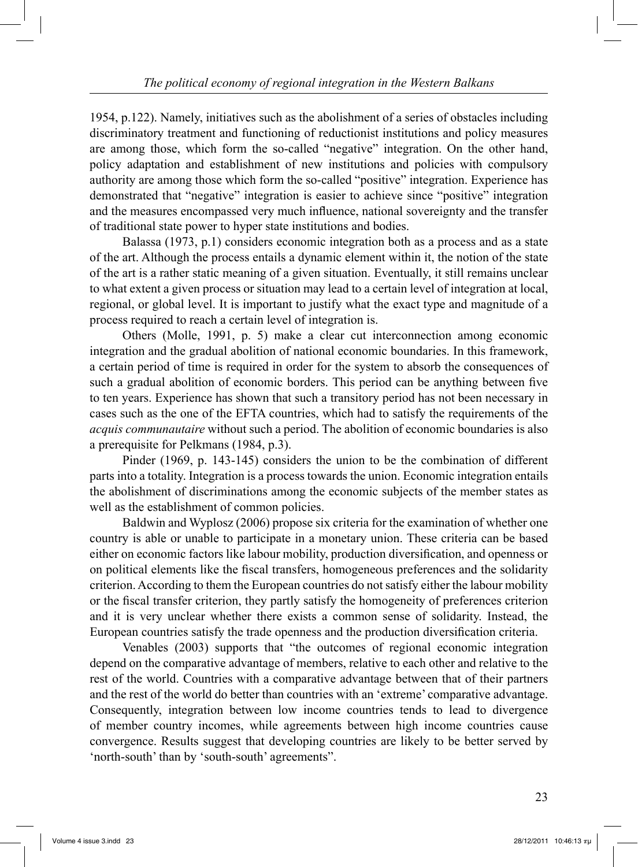1954, p.122). Namely, initiatives such as the abolishment of a series of obstacles including discriminatory treatment and functioning of reductionist institutions and policy measures are among those, which form the so-called "negative" integration. On the other hand, policy adaptation and establishment of new institutions and policies with compulsory authority are among those which form the so-called "positive" integration. Experience has demonstrated that "negative" integration is easier to achieve since "positive" integration and the measures encompassed very much influence, national sovereignty and the transfer of traditional state power to hyper state institutions and bodies.

 Balassa (1973, p.1) considers economic integration both as a process and as a state of the art. Although the process entails a dynamic element within it, the notion of the state of the art is a rather static meaning of a given situation. Eventually, it still remains unclear to what extent a given process or situation may lead to a certain level of integration at local, regional, or global level. It is important to justify what the exact type and magnitude of a process required to reach a certain level of integration is.

 Others (Molle, 1991, p. 5) make a clear cut interconnection among economic integration and the gradual abolition of national economic boundaries. In this framework, a certain period of time is required in order for the system to absorb the consequences of such a gradual abolition of economic borders. This period can be anything between five to ten years. Experience has shown that such a transitory period has not been necessary in cases such as the one of the EFTA countries, which had to satisfy the requirements of the *acquis communautaire* without such a period. The abolition of economic boundaries is also a prerequisite for Pelkmans (1984, p.3).

 Pinder (1969, p. 143-145) considers the union to be the combination of different parts into a totality. Integration is a process towards the union. Economic integration entails the abolishment of discriminations among the economic subjects of the member states as well as the establishment of common policies.

 Baldwin and Wyplosz (2006) propose six criteria for the examination of whether one country is able or unable to participate in a monetary union. These criteria can be based either on economic factors like labour mobility, production diversification, and openness or on political elements like the fiscal transfers, homogeneous preferences and the solidarity criterion. According to them the European countries do not satisfy either the labour mobility or the fiscal transfer criterion, they partly satisfy the homogeneity of preferences criterion and it is very unclear whether there exists a common sense of solidarity. Instead, the European countries satisfy the trade openness and the production diversification criteria.

 Venables (2003) supports that "the outcomes of regional economic integration depend on the comparative advantage of members, relative to each other and relative to the rest of the world. Countries with a comparative advantage between that of their partners and the rest of the world do better than countries with an 'extreme' comparative advantage. Consequently, integration between low income countries tends to lead to divergence of member country incomes, while agreements between high income countries cause convergence. Results suggest that developing countries are likely to be better served by 'north-south' than by 'south-south' agreements".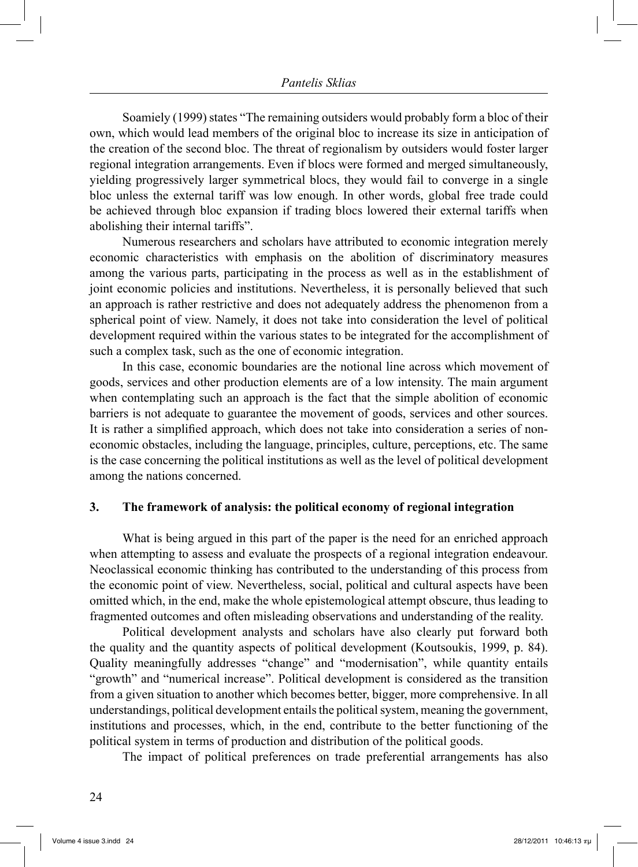Soamiely (1999) states "The remaining outsiders would probably form a bloc of their own, which would lead members of the original bloc to increase its size in anticipation of the creation of the second bloc. The threat of regionalism by outsiders would foster larger regional integration arrangements. Even if blocs were formed and merged simultaneously, yielding progressively larger symmetrical blocs, they would fail to converge in a single bloc unless the external tariff was low enough. In other words, global free trade could be achieved through bloc expansion if trading blocs lowered their external tariffs when abolishing their internal tariffs".

 Numerous researchers and scholars have attributed to economic integration merely economic characteristics with emphasis on the abolition of discriminatory measures among the various parts, participating in the process as well as in the establishment of joint economic policies and institutions. Nevertheless, it is personally believed that such an approach is rather restrictive and does not adequately address the phenomenon from a spherical point of view. Namely, it does not take into consideration the level of political development required within the various states to be integrated for the accomplishment of such a complex task, such as the one of economic integration.

 In this case, economic boundaries are the notional line across which movement of goods, services and other production elements are of a low intensity. The main argument when contemplating such an approach is the fact that the simple abolition of economic barriers is not adequate to guarantee the movement of goods, services and other sources. It is rather a simplified approach, which does not take into consideration a series of noneconomic obstacles, including the language, principles, culture, perceptions, etc. The same is the case concerning the political institutions as well as the level of political development among the nations concerned.

#### **3. The framework of analysis: the political economy of regional integration**

 What is being argued in this part of the paper is the need for an enriched approach when attempting to assess and evaluate the prospects of a regional integration endeavour. Neoclassical economic thinking has contributed to the understanding of this process from the economic point of view. Nevertheless, social, political and cultural aspects have been omitted which, in the end, make the whole epistemological attempt obscure, thus leading to fragmented outcomes and often misleading observations and understanding of the reality.

 Political development analysts and scholars have also clearly put forward both the quality and the quantity aspects of political development (Koutsoukis, 1999, p. 84). Quality meaningfully addresses "change" and "modernisation", while quantity entails "growth" and "numerical increase". Political development is considered as the transition from a given situation to another which becomes better, bigger, more comprehensive. In all understandings, political development entails the political system, meaning the government, institutions and processes, which, in the end, contribute to the better functioning of the political system in terms of production and distribution of the political goods.

The impact of political preferences on trade preferential arrangements has also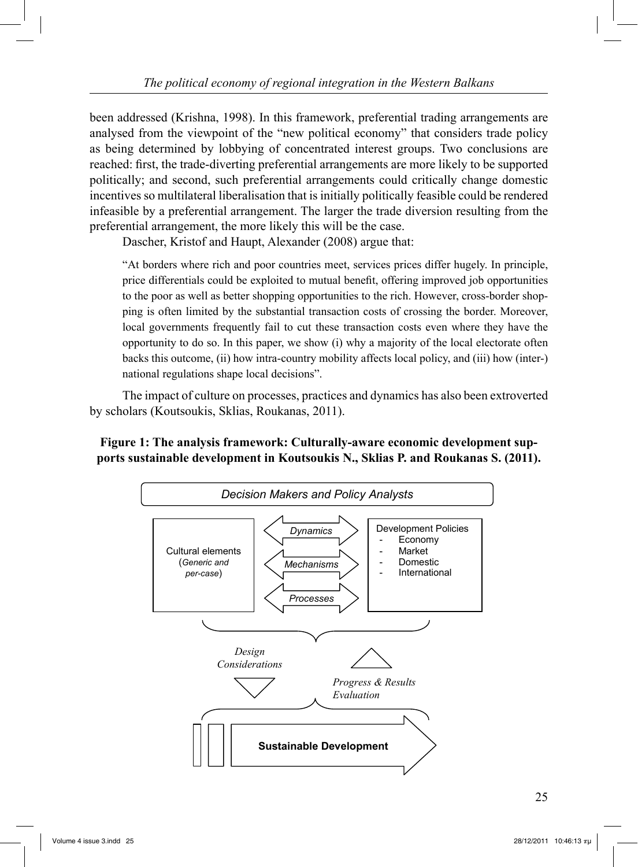been addressed (Krishna, 1998). In this framework, preferential trading arrangements are analysed from the viewpoint of the "new political economy" that considers trade policy as being determined by lobbying of concentrated interest groups. Two conclusions are reached: first, the trade-diverting preferential arrangements are more likely to be supported politically; and second, such preferential arrangements could critically change domestic incentives so multilateral liberalisation that is initially politically feasible could be rendered infeasible by a preferential arrangement. The larger the trade diversion resulting from the preferential arrangement, the more likely this will be the case.

Dascher, Kristof and Haupt, Alexander (2008) argue that:

"At borders where rich and poor countries meet, services prices differ hugely. In principle, price differentials could be exploited to mutual benefit, offering improved job opportunities to the poor as well as better shopping opportunities to the rich. However, cross-border shopping is often limited by the substantial transaction costs of crossing the border. Moreover, local governments frequently fail to cut these transaction costs even where they have the opportunity to do so. In this paper, we show (i) why a majority of the local electorate often backs this outcome, (ii) how intra-country mobility affects local policy, and (iii) how (inter-) national regulations shape local decisions".

 The impact of culture on processes, practices and dynamics has also been extroverted by scholars (Koutsoukis, Sklias, Roukanas, 2011).

# **Figure 1: The analysis framework: Culturally-aware economic development supports sustainable development in Koutsoukis N., Sklias P. and Roukanas S. (2011).**

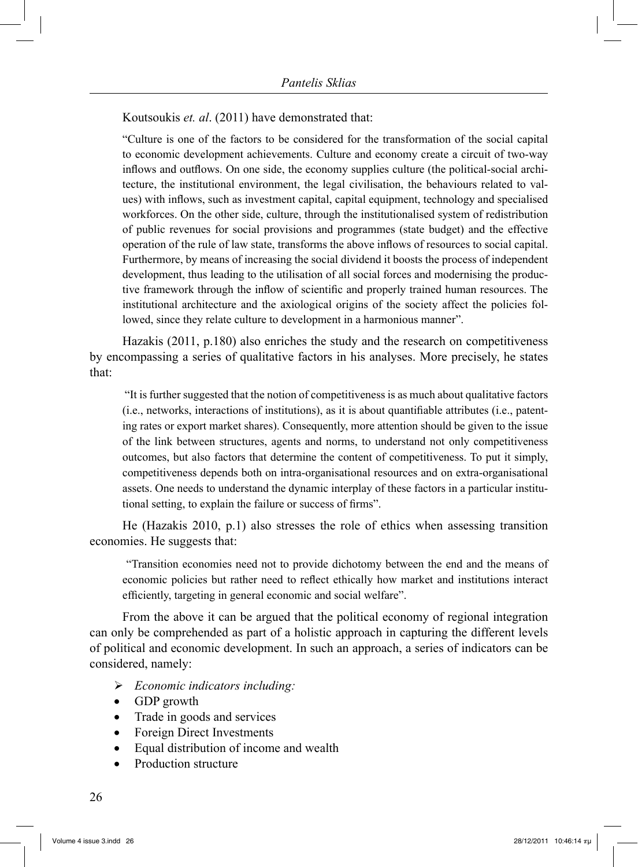Koutsoukis *et. al*. (2011) have demonstrated that:

"Culture is one of the factors to be considered for the transformation of the social capital to economic development achievements. Culture and economy create a circuit of two-way inflows and outflows. On one side, the economy supplies culture (the political-social architecture, the institutional environment, the legal civilisation, the behaviours related to values) with inflows, such as investment capital, capital equipment, technology and specialised workforces. On the other side, culture, through the institutionalised system of redistribution of public revenues for social provisions and programmes (state budget) and the effective operation of the rule of law state, transforms the above inflows of resources to social capital. Furthermore, by means of increasing the social dividend it boosts the process of independent development, thus leading to the utilisation of all social forces and modernising the productive framework through the inflow of scientific and properly trained human resources. The institutional architecture and the axiological origins of the society affect the policies followed, since they relate culture to development in a harmonious manner".

 Hazakis (2011, p.180) also enriches the study and the research on competitiveness by encompassing a series of qualitative factors in his analyses. More precisely, he states that:

 "It is further suggested that the notion of competitiveness is as much about qualitative factors (i.e., networks, interactions of institutions), as it is about quantifiable attributes (i.e., patenting rates or export market shares). Consequently, more attention should be given to the issue of the link between structures, agents and norms, to understand not only competitiveness outcomes, but also factors that determine the content of competitiveness. To put it simply, competitiveness depends both on intra-organisational resources and on extra-organisational assets. One needs to understand the dynamic interplay of these factors in a particular institutional setting, to explain the failure or success of firms".

 He (Hazakis 2010, p.1) also stresses the role of ethics when assessing transition economies. He suggests that:

 "Transition economies need not to provide dichotomy between the end and the means of economic policies but rather need to reflect ethically how market and institutions interact efficiently, targeting in general economic and social welfare".

 From the above it can be argued that the political economy of regional integration can only be comprehended as part of a holistic approach in capturing the different levels of political and economic development. In such an approach, a series of indicators can be considered, namely:

- *Economic indicators including:*
- GDP growth
- Trade in goods and services
- Foreign Direct Investments
- Equal distribution of income and wealth
- Production structure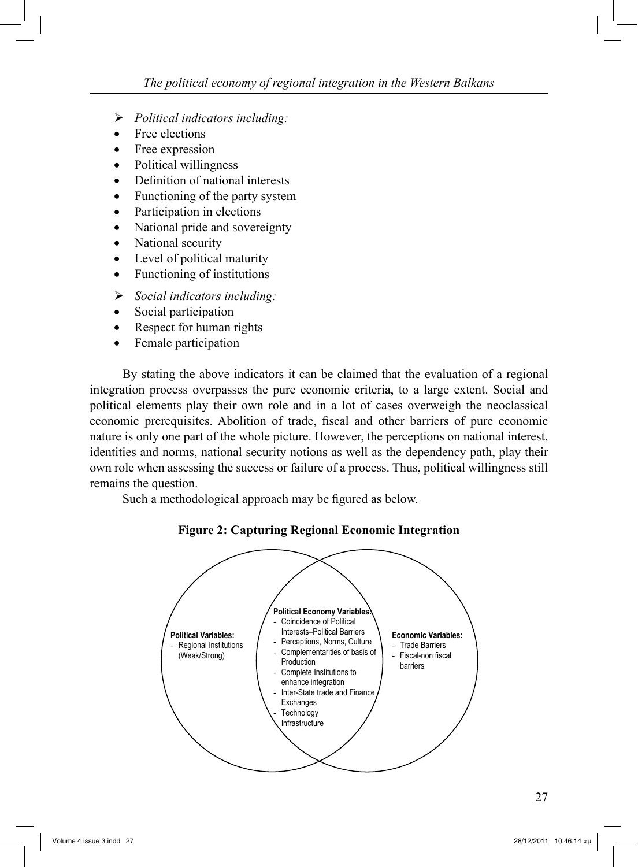- *Political indicators including:*
- Free elections
- Free expression
- Political willingness
- Definition of national interests
- Functioning of the party system
- Participation in elections
- National pride and sovereignty
- National security
- Level of political maturity
- Functioning of institutions
- *Social indicators including:*
- Social participation
- Respect for human rights
- Female participation

 By stating the above indicators it can be claimed that the evaluation of a regional integration process overpasses the pure economic criteria, to a large extent. Social and political elements play their own role and in a lot of cases overweigh the neoclassical economic prerequisites. Abolition of trade, fiscal and other barriers of pure economic nature is only one part of the whole picture. However, the perceptions on national interest, identities and norms, national security notions as well as the dependency path, play their own role when assessing the success or failure of a process. Thus, political willingness still remains the question.

Such a methodological approach may be figured as below.



**Figure 2: Capturing Regional Economic Integration**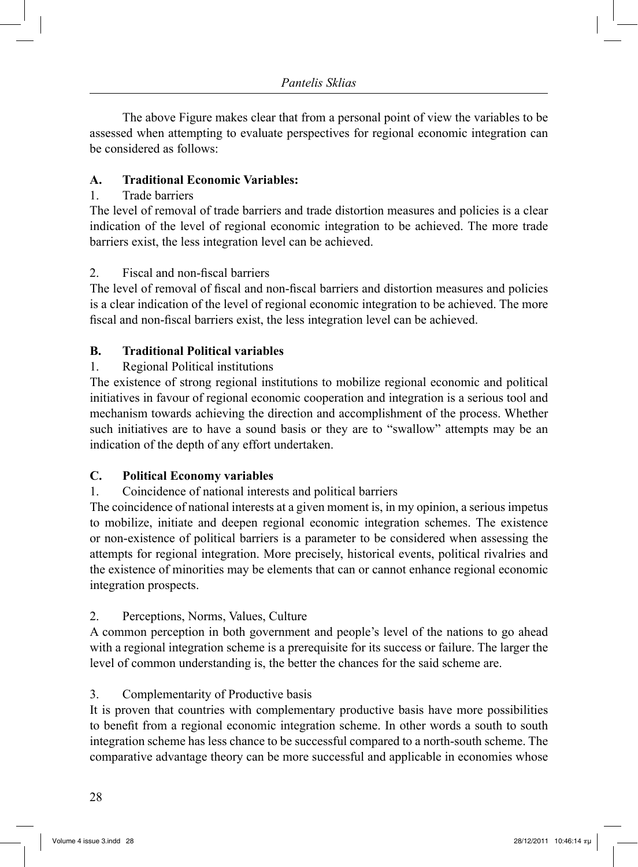The above Figure makes clear that from a personal point of view the variables to be assessed when attempting to evaluate perspectives for regional economic integration can be considered as follows:

# **A. Traditional Economic Variables:**

#### 1. Trade barriers

The level of removal of trade barriers and trade distortion measures and policies is a clear indication of the level of regional economic integration to be achieved. The more trade barriers exist, the less integration level can be achieved.

#### 2. Fiscal and non-fiscal barriers

The level of removal of fiscal and non-fiscal barriers and distortion measures and policies is a clear indication of the level of regional economic integration to be achieved. The more fiscal and non-fiscal barriers exist, the less integration level can be achieved.

#### **B. Traditional Political variables**

# 1. Regional Political institutions

The existence of strong regional institutions to mobilize regional economic and political initiatives in favour of regional economic cooperation and integration is a serious tool and mechanism towards achieving the direction and accomplishment of the process. Whether such initiatives are to have a sound basis or they are to "swallow" attempts may be an indication of the depth of any effort undertaken.

# **C. Political Economy variables**

# 1. Coincidence of national interests and political barriers

The coincidence of national interests at a given moment is, in my opinion, a serious impetus to mobilize, initiate and deepen regional economic integration schemes. The existence or non-existence of political barriers is a parameter to be considered when assessing the attempts for regional integration. More precisely, historical events, political rivalries and the existence of minorities may be elements that can or cannot enhance regional economic integration prospects.

# 2. Perceptions, Norms, Values, Culture

A common perception in both government and people's level of the nations to go ahead with a regional integration scheme is a prerequisite for its success or failure. The larger the level of common understanding is, the better the chances for the said scheme are.

# 3. Complementarity of Productive basis

It is proven that countries with complementary productive basis have more possibilities to benefit from a regional economic integration scheme. In other words a south to south integration scheme has less chance to be successful compared to a north-south scheme. The comparative advantage theory can be more successful and applicable in economies whose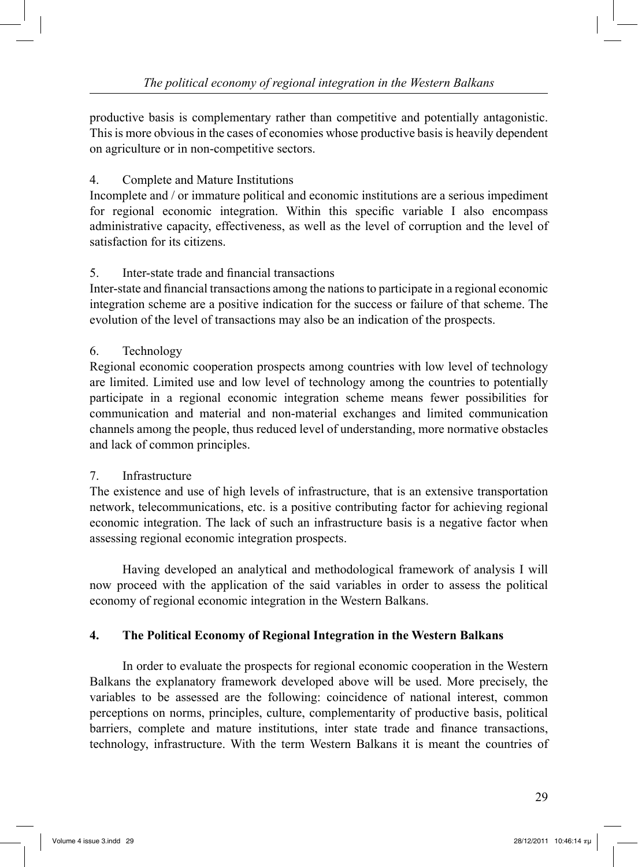productive basis is complementary rather than competitive and potentially antagonistic. This is more obvious in the cases of economies whose productive basis is heavily dependent on agriculture or in non-competitive sectors.

# 4. Complete and Mature Institutions

Incomplete and / or immature political and economic institutions are a serious impediment for regional economic integration. Within this specific variable I also encompass administrative capacity, effectiveness, as well as the level of corruption and the level of satisfaction for its citizens.

# 5. Inter-state trade and financial transactions

Inter-state and financial transactions among the nations to participate in a regional economic integration scheme are a positive indication for the success or failure of that scheme. The evolution of the level of transactions may also be an indication of the prospects.

# 6. Technology

Regional economic cooperation prospects among countries with low level of technology are limited. Limited use and low level of technology among the countries to potentially participate in a regional economic integration scheme means fewer possibilities for communication and material and non-material exchanges and limited communication channels among the people, thus reduced level of understanding, more normative obstacles and lack of common principles.

# 7. Infrastructure

The existence and use of high levels of infrastructure, that is an extensive transportation network, telecommunications, etc. is a positive contributing factor for achieving regional economic integration. The lack of such an infrastructure basis is a negative factor when assessing regional economic integration prospects.

 Having developed an analytical and methodological framework of analysis I will now proceed with the application of the said variables in order to assess the political economy of regional economic integration in the Western Balkans.

# **4. The Political Economy of Regional Integration in the Western Balkans**

 In order to evaluate the prospects for regional economic cooperation in the Western Balkans the explanatory framework developed above will be used. More precisely, the variables to be assessed are the following: coincidence of national interest, common perceptions on norms, principles, culture, complementarity of productive basis, political barriers, complete and mature institutions, inter state trade and finance transactions, technology, infrastructure. With the term Western Balkans it is meant the countries of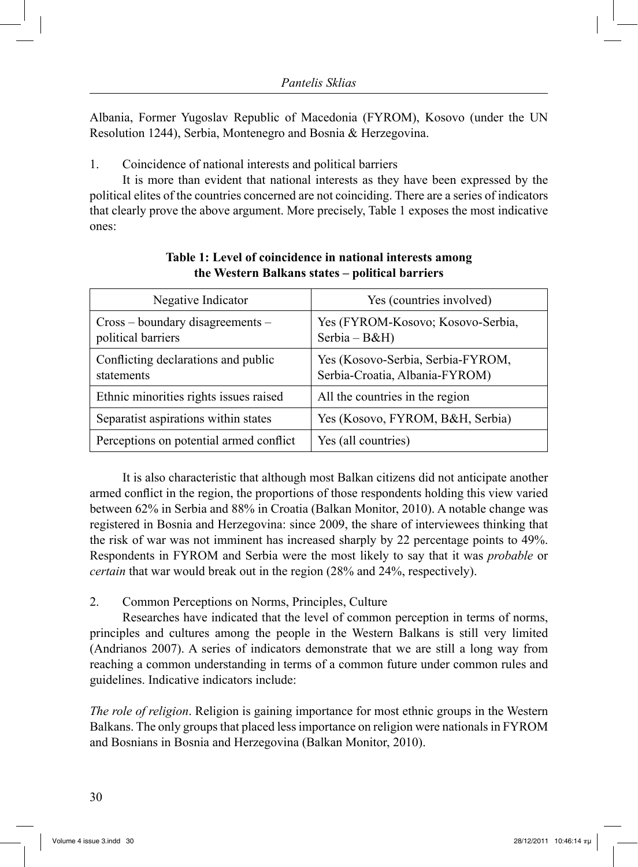Albania, Former Yugoslav Republic of Macedonia (FYROM), Kosovo (under the UN Resolution 1244), Serbia, Montenegro and Bosnia & Herzegovina.

1. Coincidence of national interests and political barriers

 It is more than evident that national interests as they have been expressed by the political elites of the countries concerned are not coinciding. There are a series of indicators that clearly prove the above argument. More precisely, Table 1 exposes the most indicative ones:

| Negative Indicator                                       | Yes (countries involved)                                            |  |
|----------------------------------------------------------|---------------------------------------------------------------------|--|
| $Cross - boundary$ disagreements –<br>political barriers | Yes (FYROM-Kosovo; Kosovo-Serbia,<br>Serbia $-B&H$ )                |  |
| Conflicting declarations and public<br>statements        | Yes (Kosovo-Serbia, Serbia-FYROM,<br>Serbia-Croatia, Albania-FYROM) |  |
| Ethnic minorities rights issues raised                   | All the countries in the region                                     |  |
| Separatist aspirations within states                     | Yes (Kosovo, FYROM, B&H, Serbia)                                    |  |
| Perceptions on potential armed conflict                  | Yes (all countries)                                                 |  |

# **Table 1: Level of coincidence in national interests among the Western Balkans states – political barriers**

 It is also characteristic that although most Balkan citizens did not anticipate another armed conflict in the region, the proportions of those respondents holding this view varied between 62% in Serbia and 88% in Croatia (Balkan Monitor, 2010). A notable change was registered in Bosnia and Herzegovina: since 2009, the share of interviewees thinking that the risk of war was not imminent has increased sharply by 22 percentage points to 49%. Respondents in FYROM and Serbia were the most likely to say that it was *probable* or *certain* that war would break out in the region (28% and 24%, respectively).

#### 2. Common Perceptions on Norms, Principles, Culture

 Researches have indicated that the level of common perception in terms of norms, principles and cultures among the people in the Western Balkans is still very limited (Andrianos 2007). A series of indicators demonstrate that we are still a long way from reaching a common understanding in terms of a common future under common rules and guidelines. Indicative indicators include:

*The role of religion*. Religion is gaining importance for most ethnic groups in the Western Balkans. The only groups that placed less importance on religion were nationals in FYROM and Bosnians in Bosnia and Herzegovina (Balkan Monitor, 2010).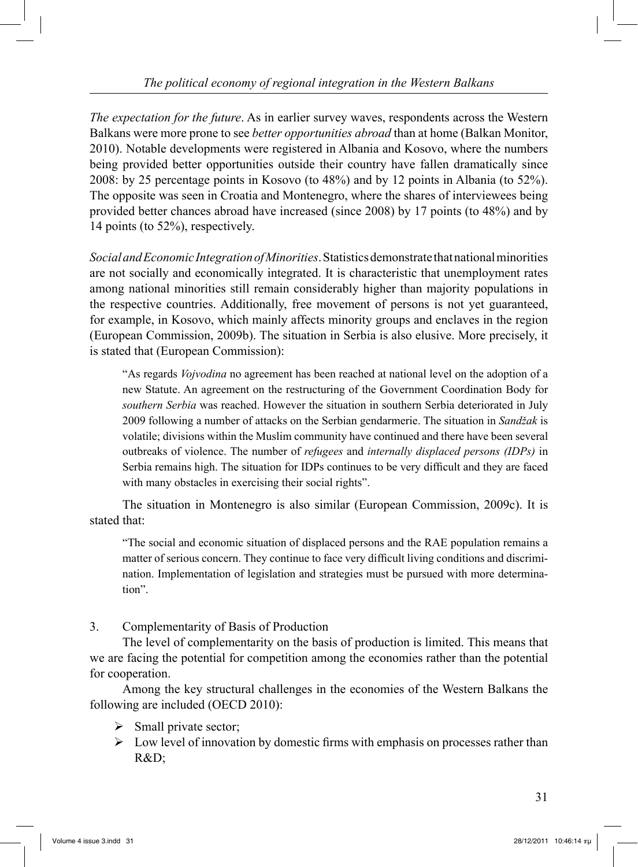*The expectation for the future*. As in earlier survey waves, respondents across the Western Balkans were more prone to see *better opportunities abroad* than at home (Balkan Monitor, 2010). Notable developments were registered in Albania and Kosovo, where the numbers being provided better opportunities outside their country have fallen dramatically since 2008: by 25 percentage points in Kosovo (to 48%) and by 12 points in Albania (to 52%). The opposite was seen in Croatia and Montenegro, where the shares of interviewees being provided better chances abroad have increased (since 2008) by 17 points (to 48%) and by 14 points (to 52%), respectively.

*Social and Economic Integration of Minorities*. Statistics demonstrate that national minorities are not socially and economically integrated. It is characteristic that unemployment rates among national minorities still remain considerably higher than majority populations in the respective countries. Additionally, free movement of persons is not yet guaranteed, for example, in Kosovo, which mainly affects minority groups and enclaves in the region (European Commission, 2009b). The situation in Serbia is also elusive. More precisely, it is stated that (European Commission):

"As regards *Vojvodina* no agreement has been reached at national level on the adoption of a new Statute. An agreement on the restructuring of the Government Coordination Body for *southern Serbia* was reached. However the situation in southern Serbia deteriorated in July 2009 following a number of attacks on the Serbian gendarmerie. The situation in *Sandžak* is volatile; divisions within the Muslim community have continued and there have been several outbreaks of violence. The number of *refugees* and *internally displaced persons (IDPs)* in Serbia remains high. The situation for IDPs continues to be very difficult and they are faced with many obstacles in exercising their social rights".

The situation in Montenegro is also similar (European Commission, 2009c). It is stated that:

"The social and economic situation of displaced persons and the RAE population remains a matter of serious concern. They continue to face very difficult living conditions and discrimination. Implementation of legislation and strategies must be pursued with more determination".

3. Complementarity of Basis of Production

 The level of complementarity on the basis of production is limited. This means that we are facing the potential for competition among the economies rather than the potential for cooperation.

 Among the key structural challenges in the economies of the Western Balkans the following are included (OECD 2010):

- $\triangleright$  Small private sector;
- $\triangleright$  Low level of innovation by domestic firms with emphasis on processes rather than R&D;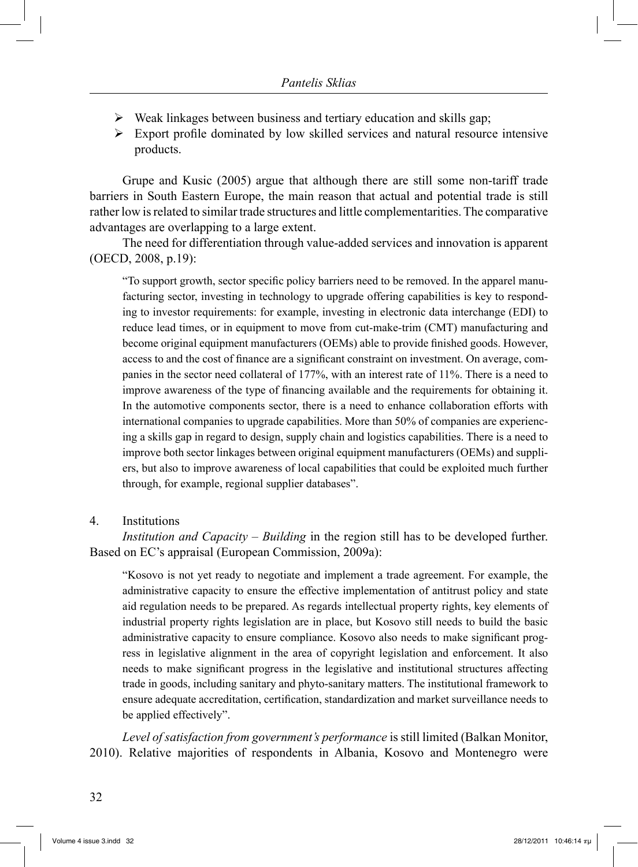- $\triangleright$  Weak linkages between business and tertiary education and skills gap;
- $\triangleright$  Export profile dominated by low skilled services and natural resource intensive products.

 Grupe and Kusic (2005) argue that although there are still some non-tariff trade barriers in South Eastern Europe, the main reason that actual and potential trade is still rather low is related to similar trade structures and little complementarities. The comparative advantages are overlapping to a large extent.

 The need for differentiation through value-added services and innovation is apparent (OECD, 2008, p.19):

"To support growth, sector specific policy barriers need to be removed. In the apparel manufacturing sector, investing in technology to upgrade offering capabilities is key to responding to investor requirements: for example, investing in electronic data interchange (EDI) to reduce lead times, or in equipment to move from cut-make-trim (CMT) manufacturing and become original equipment manufacturers (OEMs) able to provide finished goods. However, access to and the cost of finance are a significant constraint on investment. On average, companies in the sector need collateral of 177%, with an interest rate of 11%. There is a need to improve awareness of the type of financing available and the requirements for obtaining it. In the automotive components sector, there is a need to enhance collaboration efforts with international companies to upgrade capabilities. More than 50% of companies are experiencing a skills gap in regard to design, supply chain and logistics capabilities. There is a need to improve both sector linkages between original equipment manufacturers (OEMs) and suppliers, but also to improve awareness of local capabilities that could be exploited much further through, for example, regional supplier databases".

#### 4. Institutions

*Institution and Capacity – Building* in the region still has to be developed further. Based on EC's appraisal (European Commission, 2009a):

"Kosovo is not yet ready to negotiate and implement a trade agreement. For example, the administrative capacity to ensure the effective implementation of antitrust policy and state aid regulation needs to be prepared. As regards intellectual property rights, key elements of industrial property rights legislation are in place, but Kosovo still needs to build the basic administrative capacity to ensure compliance. Kosovo also needs to make significant progress in legislative alignment in the area of copyright legislation and enforcement. It also needs to make significant progress in the legislative and institutional structures affecting trade in goods, including sanitary and phyto-sanitary matters. The institutional framework to ensure adequate accreditation, certification, standardization and market surveillance needs to be applied effectively".

*Level of satisfaction from government's performance* is still limited (Balkan Monitor, 2010). Relative majorities of respondents in Albania, Kosovo and Montenegro were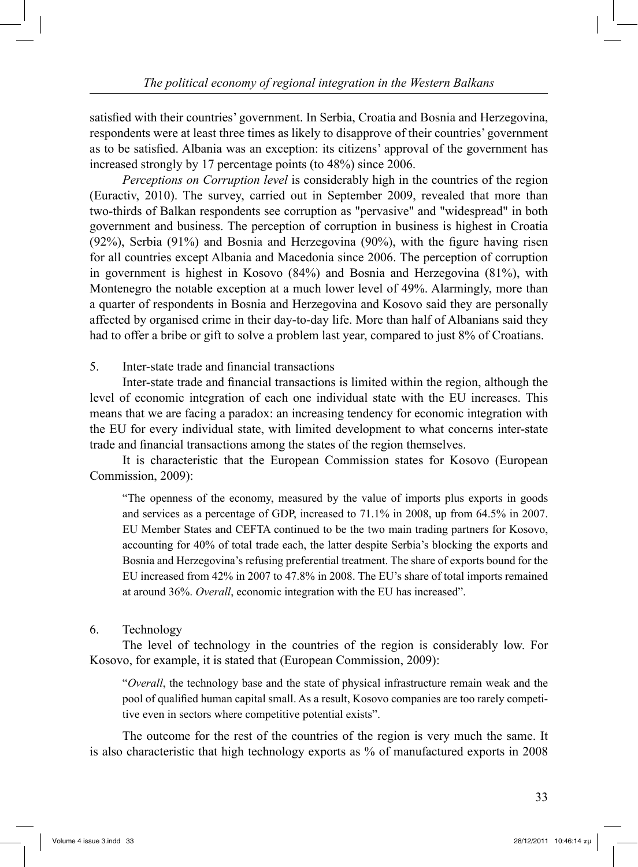satisfied with their countries' government. In Serbia, Croatia and Bosnia and Herzegovina, respondents were at least three times as likely to disapprove of their countries' government as to be satisfied. Albania was an exception: its citizens' approval of the government has increased strongly by 17 percentage points (to 48%) since 2006.

*Perceptions on Corruption level* is considerably high in the countries of the region (Euractiv, 2010). The survey, carried out in September 2009, revealed that more than two-thirds of Balkan respondents see corruption as "pervasive" and "widespread" in both government and business. The perception of corruption in business is highest in Croatia (92%), Serbia (91%) and Bosnia and Herzegovina (90%), with the figure having risen for all countries except Albania and Macedonia since 2006. The perception of corruption in government is highest in Kosovo (84%) and Bosnia and Herzegovina (81%), with Montenegro the notable exception at a much lower level of 49%. Alarmingly, more than a quarter of respondents in Bosnia and Herzegovina and Kosovo said they are personally affected by organised crime in their day-to-day life. More than half of Albanians said they had to offer a bribe or gift to solve a problem last year, compared to just 8% of Croatians.

5. Inter-state trade and financial transactions

 Inter-state trade and financial transactions is limited within the region, although the level of economic integration of each one individual state with the EU increases. This means that we are facing a paradox: an increasing tendency for economic integration with the EU for every individual state, with limited development to what concerns inter-state trade and financial transactions among the states of the region themselves.

 It is characteristic that the European Commission states for Kosovo (European Commission, 2009):

"The openness of the economy, measured by the value of imports plus exports in goods and services as a percentage of GDP, increased to 71.1% in 2008, up from 64.5% in 2007. EU Member States and CEFTA continued to be the two main trading partners for Kosovo, accounting for 40% of total trade each, the latter despite Serbia's blocking the exports and Bosnia and Herzegovina's refusing preferential treatment. The share of exports bound for the EU increased from 42% in 2007 to 47.8% in 2008. The EU's share of total imports remained at around 36%. *Overall*, economic integration with the EU has increased".

#### 6. Technology

 The level of technology in the countries of the region is considerably low. For Kosovo, for example, it is stated that (European Commission, 2009):

"*Overall*, the technology base and the state of physical infrastructure remain weak and the pool of qualified human capital small. As a result, Kosovo companies are too rarely competitive even in sectors where competitive potential exists".

 The outcome for the rest of the countries of the region is very much the same. It is also characteristic that high technology exports as % of manufactured exports in 2008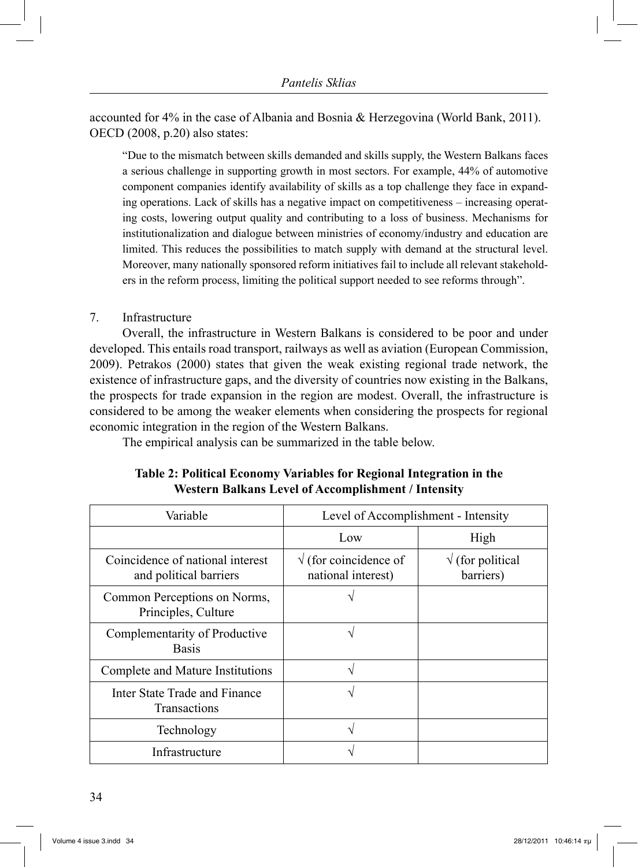accounted for 4% in the case of Albania and Bosnia & Herzegovina (World Bank, 2011). OECD (2008, p.20) also states:

"Due to the mismatch between skills demanded and skills supply, the Western Balkans faces a serious challenge in supporting growth in most sectors. For example, 44% of automotive component companies identify availability of skills as a top challenge they face in expanding operations. Lack of skills has a negative impact on competitiveness – increasing operating costs, lowering output quality and contributing to a loss of business. Mechanisms for institutionalization and dialogue between ministries of economy/industry and education are limited. This reduces the possibilities to match supply with demand at the structural level. Moreover, many nationally sponsored reform initiatives fail to include all relevant stakeholders in the reform process, limiting the political support needed to see reforms through".

#### 7. Infrastructure

 Overall, the infrastructure in Western Balkans is considered to be poor and under developed. This entails road transport, railways as well as aviation (European Commission, 2009). Petrakos (2000) states that given the weak existing regional trade network, the existence of infrastructure gaps, and the diversity of countries now existing in the Balkans, the prospects for trade expansion in the region are modest. Overall, the infrastructure is considered to be among the weaker elements when considering the prospects for regional economic integration in the region of the Western Balkans.

The empirical analysis can be summarized in the table below.

# **Table 2: Political Economy Variables for Regional Integration in the Western Balkans Level of Accomplishment / Intensity**

| Variable                                                   | Level of Accomplishment - Intensity                 |                                       |
|------------------------------------------------------------|-----------------------------------------------------|---------------------------------------|
|                                                            | Low                                                 | High                                  |
| Coincidence of national interest<br>and political barriers | $\sqrt{}$ (for coincidence of<br>national interest) | $\sqrt{}$ (for political<br>barriers) |
| Common Perceptions on Norms,<br>Principles, Culture        |                                                     |                                       |
| Complementarity of Productive<br><b>Basis</b>              | ٦                                                   |                                       |
| Complete and Mature Institutions                           | ٦                                                   |                                       |
| Inter State Trade and Finance<br><b>Transactions</b>       |                                                     |                                       |
| Technology                                                 |                                                     |                                       |
| Infrastructure                                             |                                                     |                                       |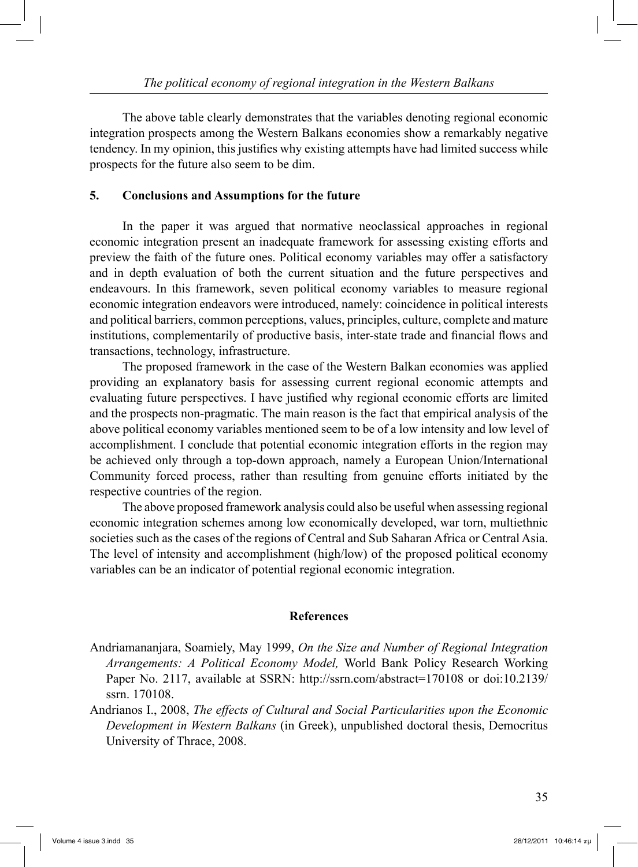The above table clearly demonstrates that the variables denoting regional economic integration prospects among the Western Balkans economies show a remarkably negative tendency. In my opinion, this justifies why existing attempts have had limited success while prospects for the future also seem to be dim.

#### **5. Conclusions and Assumptions for the future**

 In the paper it was argued that normative neoclassical approaches in regional economic integration present an inadequate framework for assessing existing efforts and preview the faith of the future ones. Political economy variables may offer a satisfactory and in depth evaluation of both the current situation and the future perspectives and endeavours. In this framework, seven political economy variables to measure regional economic integration endeavors were introduced, namely: coincidence in political interests and political barriers, common perceptions, values, principles, culture, complete and mature institutions, complementarily of productive basis, inter-state trade and financial flows and transactions, technology, infrastructure.

 The proposed framework in the case of the Western Balkan economies was applied providing an explanatory basis for assessing current regional economic attempts and evaluating future perspectives. I have justified why regional economic efforts are limited and the prospects non-pragmatic. The main reason is the fact that empirical analysis of the above political economy variables mentioned seem to be of a low intensity and low level of accomplishment. I conclude that potential economic integration efforts in the region may be achieved only through a top-down approach, namely a European Union/International Community forced process, rather than resulting from genuine efforts initiated by the respective countries of the region.

 The above proposed framework analysis could also be useful when assessing regional economic integration schemes among low economically developed, war torn, multiethnic societies such as the cases of the regions of Central and Sub Saharan Africa or Central Asia. The level of intensity and accomplishment (high/low) of the proposed political economy variables can be an indicator of potential regional economic integration.

#### **References**

- Andriamananjara, Soamiely, May 1999, *On the Size and Number of Regional Integration Arrangements: A Political Economy Model,* World Bank Policy Research Working Paper No. 2117, available at SSRN: http://ssrn.com/abstract=170108 or doi:10.2139/ ssrn. 170108.
- Andrianos I., 2008, *The effects of Cultural and Social Particularities upon the Economic Development in Western Balkans* (in Greek), unpublished doctoral thesis, Democritus University of Thrace, 2008.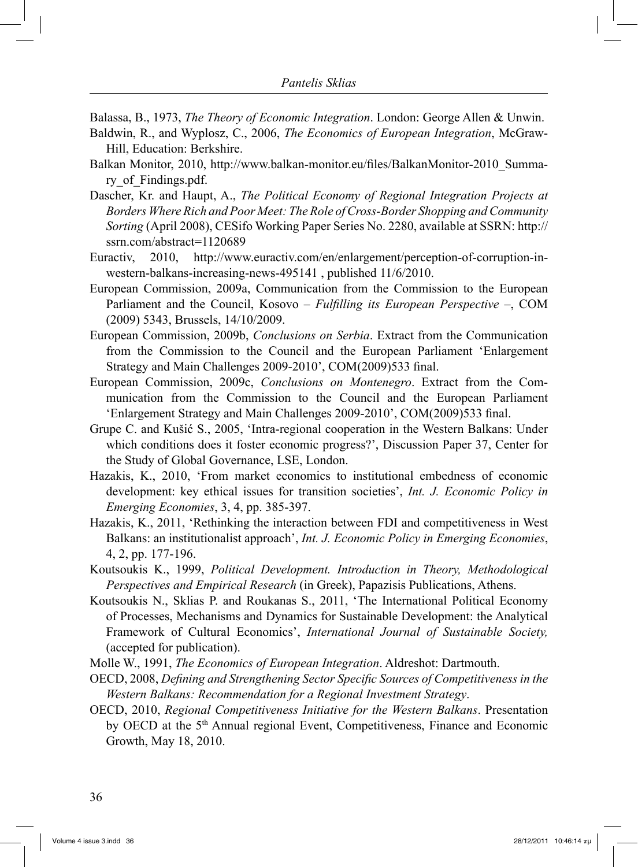Balassa, B., 1973, *The Theory of Economic Integration*. London: George Allen & Unwin.

- Baldwin, R., and Wyplosz, C., 2006, *The Economics of European Integration*, McGraw-Hill, Education: Berkshire.
- Balkan Monitor, 2010, http://www.balkan-monitor.eu/files/BalkanMonitor-2010\_Summary\_of\_Findings.pdf.
- Dascher, Kr. and Haupt, A., *The Political Economy of Regional Integration Projects at Borders Where Rich and Poor Meet: The Role of Cross-Border Shopping and Community Sorting* (April 2008), CESifo Working Paper Series No. 2280, available at SSRN: http:// ssrn.com/abstract=1120689
- Euractiv, 2010, http://www.euractiv.com/en/enlargement/perception-of-corruption-inwestern-balkans-increasing-news-495141 , published 11/6/2010.
- European Commission, 2009a, Communication from the Commission to the European Parliament and the Council, Kosovo – *Fulfilling its European Perspective* –, COM (2009) 5343, Brussels, 14/10/2009.
- European Commission, 2009b, *Conclusions on Serbia*. Extract from the Communication from the Commission to the Council and the European Parliament 'Enlargement Strategy and Main Challenges 2009-2010', COM(2009)533 final.
- European Commission, 2009c, *Conclusions on Montenegro*. Extract from the Communication from the Commission to the Council and the European Parliament 'Enlargement Strategy and Main Challenges 2009-2010', COM(2009)533 final.
- Grupe C. and Kušić S., 2005, 'Intra-regional cooperation in the Western Balkans: Under which conditions does it foster economic progress?', Discussion Paper 37, Center for the Study of Global Governance, LSE, London.
- Hazakis, K., 2010, 'From market economics to institutional embedness of economic development: key ethical issues for transition societies', *Int. J. Economic Policy in Emerging Economies*, 3, 4, pp. 385-397.
- Hazakis, K., 2011, 'Rethinking the interaction between FDI and competitiveness in West Balkans: an institutionalist approach', *Int. J. Economic Policy in Emerging Economies*, 4, 2, pp. 177-196.
- Koutsoukis K., 1999, *Political Development. Introduction in Theory, Methodological Perspectives and Empirical Research* (in Greek), Papazisis Publications, Athens.
- Koutsoukis N., Sklias P. and Roukanas S., 2011, 'The International Political Economy of Processes, Mechanisms and Dynamics for Sustainable Development: the Analytical Framework of Cultural Economics', *International Journal of Sustainable Society,*  (accepted for publication).
- Molle W., 1991, *The Economics of European Integration*. Aldreshot: Dartmouth.
- OECD, 2008, *Defining and Strengthening Sector Specific Sources of Competitiveness in the Western Balkans: Recommendation for a Regional Investment Strategy*.
- OECD, 2010, *Regional Competitiveness Initiative for the Western Balkans*. Presentation by OECD at the 5<sup>th</sup> Annual regional Event, Competitiveness, Finance and Economic Growth, May 18, 2010.